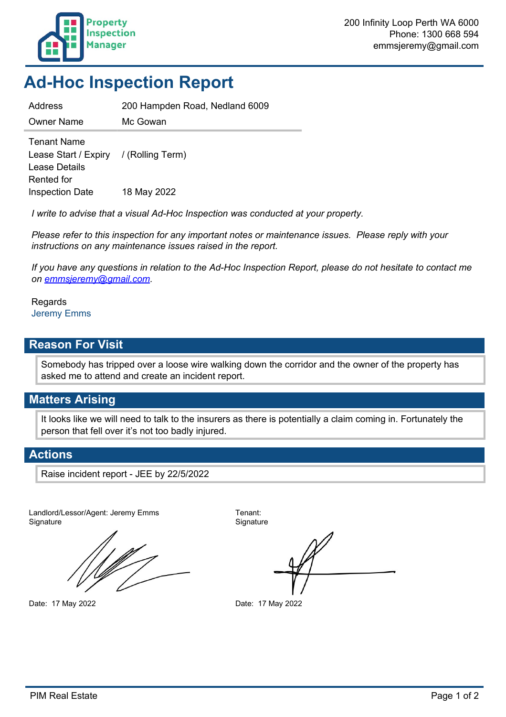

## **Ad-Hoc Inspection Report**

Address 200 Hampden Road, Nedland 6009

Owner Name Mc Gowan

Tenant Name Lease Start / Expiry / (Rolling Term) Lease Details Rented for Inspection Date 18 May 2022

*I write to advise that a visual Ad-Hoc Inspection was conducted at your property.*

*Please refer to this inspection for any important notes or maintenance issues. Please reply with your instructions on any maintenance issues raised in the report.*

*If you have any questions in relation to the Ad-Hoc Inspection Report, please do not hesitate to contact me on emmsjeremy@gmail.com.*

Regards Jeremy Emms

#### **Reason For Visit**

Somebody has tripped over a loose wire walking down the corridor and the owner of the property has asked me to attend and create an incident report.

#### **Matters Arising**

It looks like we will need to talk to the insurers as there is potentially a claim coming in. Fortunately the person that fell over it's not too badly injured.

#### **Actions**

Raise incident report - JEE by 22/5/2022

Landlord/Lessor/Agent: Jeremy Emms Tenant: Signature Signature Signature

Date: 17 May 2022 Date: 17 May 2022